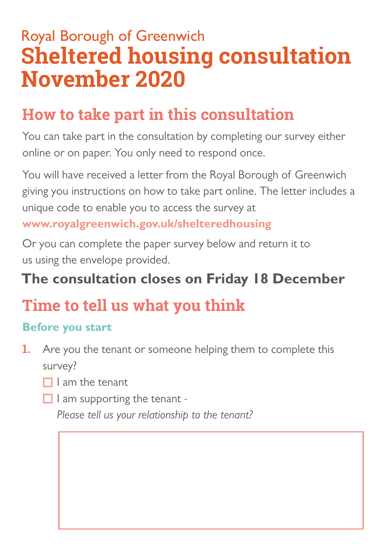# Royal Borough of Greenwich **Sheltered housing consultation November 2020**

# **How to take part in this consultation**

You can take part in the consultation by completing our survey either online or on paper. You only need to respond once.

You will have received a letter from the Royal Borough of Greenwich giving you instructions on how to take part online. The letter includes a unique code to enable you to access the survey at

### **www.royalgreenwich.gov.uk/shelteredhousing**

Or you can complete the paper survey below and return it to us using the envelope provided.

# **The consultation closes on Friday 18 December**

# **Time to tell us what you think**

### **Before you start**

- **1.** Are you the tenant or someone helping them to complete this survey?
	- $\Box$  I am the tenant
	- $\Box$  I am supporting the tenant -

*Please tell us your relationship to the tenant?*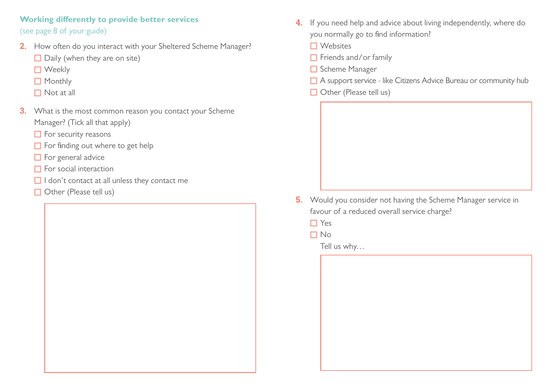- **5.** Would you consider not having the Scheme Manager service in favour of a reduced overall service charge?
	- □ Yes
	- No

A support service - like Citizens Advice Bureau or community hub

- **2.** How often do you interact with your Sheltered Scheme Manager?
	- $\Box$  Daily (when they are on site)
	- Weekly
	- Monthly
	- Not at all
- **3.** What is the most common reason you contact your Scheme Manager? (Tick all that apply)
	- $\Box$  For security reasons
	- $\Box$  For finding out where to get help
	- For general advice
	- $\Box$  For social interaction
	- $\Box$  I don't contact at all unless they contact me
	- Other (Please tell us)
- **4.** If you need help and advice about living independently, where do you normally go to find information?
	- **□** Websites
	- Friends and/or family
	- Scheme Manager
	-
	- Other (Please tell us)

Tell us why…

#### **Working differently to provide better services**

(see page 8 of your guide)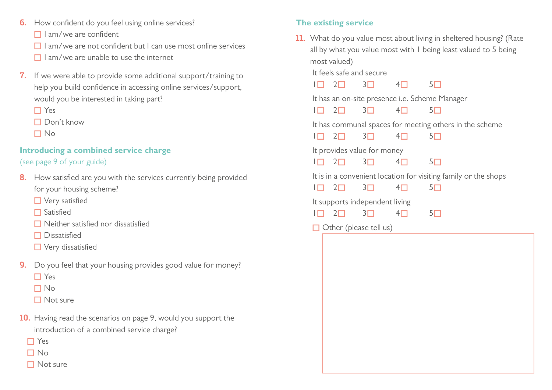| The existing service |  |  |
|----------------------|--|--|
|                      |  |  |

|                                               | <b>II.</b> VYNat do you value most about living in : |                               |                                           |            |  |
|-----------------------------------------------|------------------------------------------------------|-------------------------------|-------------------------------------------|------------|--|
|                                               |                                                      |                               | all by what you value most with I being I |            |  |
|                                               | most valued)                                         |                               |                                           |            |  |
|                                               |                                                      | It feels safe and secure      |                                           |            |  |
| IO                                            | $2\square$                                           | $3\Box$                       | $4\square$                                | $5\Box$    |  |
|                                               |                                                      |                               | It has an on-site presence i.e. Scheme M  |            |  |
| I O L                                         | $2\square$                                           | $3\Box$                       | $4\square$                                | $5\Box$    |  |
| It has communal spaces for meeting oth        |                                                      |                               |                                           |            |  |
| ! □ ∴                                         | $2\Box$                                              | $3\Box$                       | $4\square$                                | $5\Box$    |  |
| It provides value for money                   |                                                      |                               |                                           |            |  |
| $\mathsf{L}$                                  | $2\square$                                           | $3\Box$                       | $4\square$                                | $5\Box$    |  |
| It is in a convenient location for visiting f |                                                      |                               |                                           |            |  |
| IO                                            | $2\square$                                           | $3\Box$                       | $4\square$                                | $5\Box$    |  |
| It supports independent living                |                                                      |                               |                                           |            |  |
|                                               | $2\square$                                           | $3\Box$                       | $4\square$                                | $5\square$ |  |
|                                               |                                                      | $\Box$ Other (please tell us) |                                           |            |  |
|                                               |                                                      |                               |                                           |            |  |
|                                               |                                                      |                               |                                           |            |  |
|                                               |                                                      |                               |                                           |            |  |



- **8.** How satisfied are you with the services currently being provided for your housing scheme?
	- **Very satisfied**
	- $\Box$  Satisfied
	- $\Box$  Neither satisfied nor dissatisfied
	- $\n **D**$  issatisfied
	- **Very dissatisfied**
- **9.** Do you feel that your housing provides good value for money?
	- □ Yes
	- ■No
	- Not sure
- **10.** Having read the scenarios on page 9, would you support the introduction of a combined service charge?
	- **T** Yes
	- No
	- $\Box$  Not sure
- **6.** How confident do you feel using online services?
	- $\Box$  I am/we are confident
	- $\Box$  I am/we are not confident but I can use most online services
	- $\Box$  I am/we are unable to use the internet
- **7.** If we were able to provide some additional support/training to help you build confidence in accessing online services/support, would you be interested in taking part?
	- $\Gamma$  Yes
	- Don't know
	- $\n **1**$  No

# **Introducing a combined service charge**

### (see page 9 of your guide)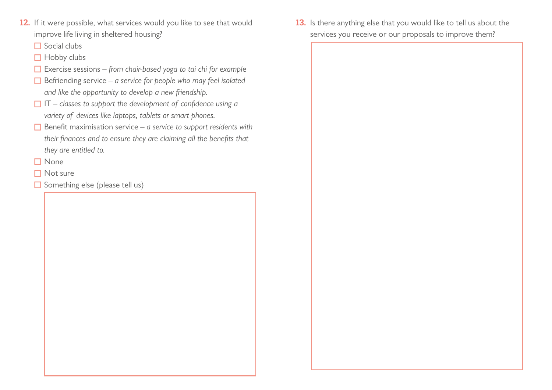**13.** Is there anything else that you would like to tell us about the services you receive or our proposals to improve them?

- **12.** If it were possible, what services would you like to see that would improve life living in sheltered housing?
	- $\square$  Social clubs
	- Hobby clubs
	- Exercise sessions *from chair-based yoga to tai chi for exampl*e
	- Befriending service *a service for people who may feel isolated and like the opportunity to develop a new friendship.*
	- IT *classes to support the development of confidence using a variety of devices like laptops, tablets or smart phones.*
	- Benefit maximisation service *a service to support residents with their finances and to ensure they are claiming all the benefits that they are entitled to.*
	- □ None
	- $\Box$  Not sure
	- $\Box$  Something else (please tell us)